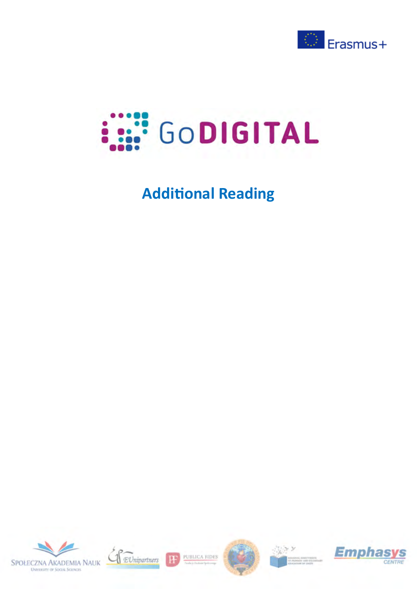



# **Additional Reading**





PUBLICA FIDES

H





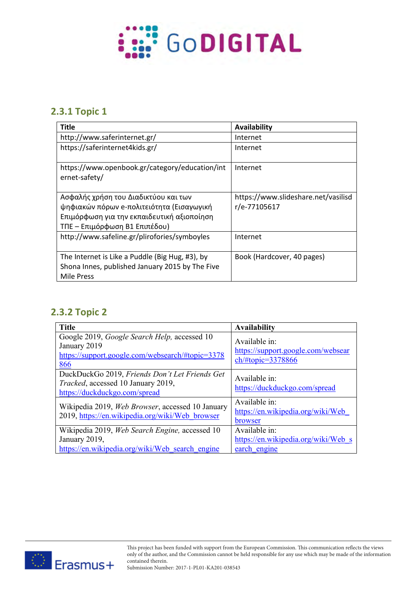

#### **2.3.1 Topic 1**

| <b>Title</b>                                                                                                                                                     | Availability                                        |
|------------------------------------------------------------------------------------------------------------------------------------------------------------------|-----------------------------------------------------|
| http://www.saferinternet.gr/                                                                                                                                     | Internet                                            |
| https://saferinternet4kids.gr/                                                                                                                                   | Internet                                            |
| https://www.openbook.gr/category/education/int<br>ernet-safety/                                                                                                  | Internet                                            |
| Ασφαλής χρήση του Διαδικτύου και των<br>ψηφιακών πόρων e-πολιτειότητα (Εισαγωγική<br>Επιμόρφωση για την εκπαιδευτική αξιοποίηση<br>ΤΠΕ – Επιμόρφωση Β1 Επιπέδου) | https://www.slideshare.net/vasilisd<br>r/e-77105617 |
| http://www.safeline.gr/plirofories/symboyles                                                                                                                     | Internet                                            |
| The Internet is Like a Puddle (Big Hug, #3), by<br>Shona Innes, published January 2015 by The Five<br>Mile Press                                                 | Book (Hardcover, 40 pages)                          |

### **2.3.2 Topic 2**

| <b>Title</b>                                                                                                            | <b>Availability</b>                                                      |
|-------------------------------------------------------------------------------------------------------------------------|--------------------------------------------------------------------------|
| Google 2019, Google Search Help, accessed 10<br>January 2019<br>https://support.google.com/websearch/#topic=3378<br>866 | Available in:<br>https://support.google.com/websear<br>ch/#topic=3378866 |
| DuckDuckGo 2019, Friends Don't Let Friends Get<br>Tracked, accessed 10 January 2019,<br>https://duckduckgo.com/spread   | Available in:<br>https://duckduckgo.com/spread                           |
| Wikipedia 2019, Web Browser, accessed 10 January<br>2019, https://en.wikipedia.org/wiki/Web browser                     | Available in:<br>https://en.wikipedia.org/wiki/Web<br>browser            |
| Wikipedia 2019, Web Search Engine, accessed 10<br>January 2019,<br>https://en.wikipedia.org/wiki/Web search engine      | Available in:<br>https://en.wikipedia.org/wiki/Web s<br>earch engine     |



This project has been funded with support from the European Commission. This communication reflects the views only of the author, and the Commission cannot be held responsible for any use which may be made of the information contained therein.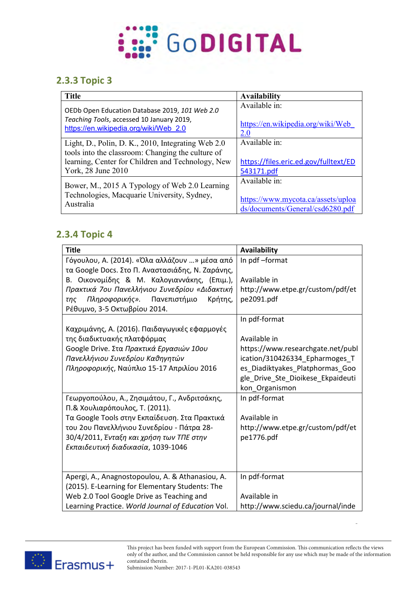

## **2.3.3 Topic 3**

| <b>Title</b>                                                                                                                                                                       | <b>Availability</b>                                                  |
|------------------------------------------------------------------------------------------------------------------------------------------------------------------------------------|----------------------------------------------------------------------|
| OEDb Open Education Database 2019, 101 Web 2.0                                                                                                                                     | Available in:                                                        |
| Teaching Tools, accessed 10 January 2019,                                                                                                                                          | https://en.wikipedia.org/wiki/Web                                    |
| https://en.wikipedia.org/wiki/Web 2.0                                                                                                                                              | <b>2.0</b>                                                           |
| Light, D., Polin, D. K., 2010, Integrating Web 2.0<br>tools into the classroom: Changing the culture of<br>learning, Center for Children and Technology, New<br>York, 28 June 2010 | Available in:<br>https://files.eric.ed.gov/fulltext/ED<br>543171.pdf |
| Bower, M., 2015 A Typology of Web 2.0 Learning                                                                                                                                     | Available in:                                                        |
| Technologies, Macquarie University, Sydney,                                                                                                                                        | https://www.mycota.ca/assets/uploa                                   |
| Australia                                                                                                                                                                          | ds/documents/General/csd6280.pdf                                     |

### **2.3.4 Topic 4**

| <b>Title</b>                                       | <b>Availability</b>               |
|----------------------------------------------------|-----------------------------------|
| Γόγουλου, Α. (2014). «Όλα αλλάζουν » μέσα από      | In pdf-format                     |
| τα Google Docs. Στο Π. Αναστασιάδης, Ν. Ζαράνης,   |                                   |
| Β. Οικονομίδης & Μ. Καλογιαννάκης, (Επιμ.),        | Available in                      |
| Πρακτικά 7ου Πανελλήνιου Συνεδρίου «Διδακτική      | http://www.etpe.gr/custom/pdf/et  |
| Πληροφορικής».<br>Πανεπιστήμιο<br>Κρήτης,<br>της   | pe2091.pdf                        |
| Ρέθυμνο, 3-5 Οκτωβρίου 2014.                       |                                   |
|                                                    | In pdf-format                     |
| Καχριμάνης, Α. (2016). Παιδαγωγικές εφαρμογές      |                                   |
| της διαδικτυακής πλατφόρμας                        | Available in                      |
| Google Drive. Στα Πρακτικά Εργασιών 10ου           | https://www.researchgate.net/publ |
| Πανελλήνιου Συνεδρίου Καθηγητών                    | ication/310426334_Epharmoges_T    |
| Πληροφορικής, Ναύπλιο 15-17 Απριλίου 2016          | es_Diadiktyakes_Platphormas_Goo   |
|                                                    | gle_Drive_Ste_Dioikese_Ekpaideuti |
|                                                    | kon_Organismon                    |
| Γεωργοπούλου, Α., Ζησιμάτου, Γ., Ανδριτσάκης,      | In pdf-format                     |
| Π.& Χουλιαρόπουλος, Τ. (2011).                     |                                   |
| Τα Google Tools στην Εκπαίδευση. Στα Πρακτικά      | Available in                      |
| του 2ου Πανελλήνιου Συνεδρίου - Πάτρα 28-          | http://www.etpe.gr/custom/pdf/et  |
| 30/4/2011, Ένταξη και χρήση των ΤΠΕ στην           | pe1776.pdf                        |
| Εκπαιδευτική διαδικασία, 1039-1046                 |                                   |
|                                                    |                                   |
|                                                    |                                   |
| Apergi, A., Anagnostopoulou, A. & Athanasiou, A.   | In pdf-format                     |
| (2015). E-Learning for Elementary Students: The    |                                   |
| Web 2.0 Tool Google Drive as Teaching and          | Available in                      |
| Learning Practice. World Journal of Education Vol. | http://www.sciedu.ca/journal/inde |